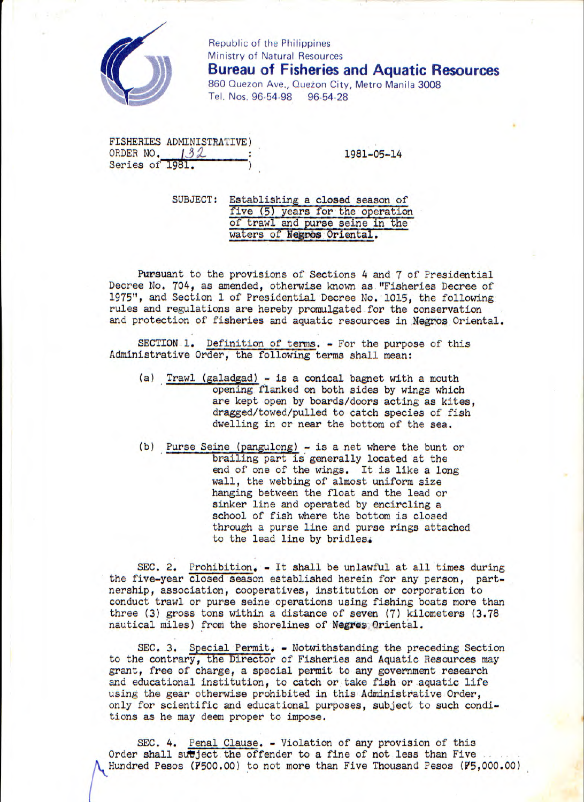

Republic of the Philippines<br>Ministry of Natural Resource<br>Bureau of Fisherie Ministry of Natural Resources **Bureau of Fisheries and Aquatic Resources**  860 Quezon Ave., Quezon City, Metro Manila 3008 Tel. Nos. 96-54-98 96-54-28

FISHERIES ADMINISTRATIVE) ORDER NO.  $132$  : 1981-05-14 Series of 1981.

SUBJECT: Establishing a closed season of five (5) years for the operation of trawl and purse seine in the waters of **Negros** Oriental.

Pursuant to the provisions of Sections 4 and 7 of Presidential Decree No. 704, as amended, otherwise known as. "Fisheries Decree of 1975**<sup>11</sup>** , and Section 1 of Presidential Decree No. 1015, the following rules and regulations are hereby promulgated for the conservation and protection of fisheries and aquatic resources in Negros Oriental.

SECTION 1. Definition of terms. - For the purpose of this Administrative Order, the following terms shall mean:

- (a) Trawl(galadgad) is a conical bagnet with a mouth opening flanked on both sides by wings which are kept open by boards/doors acting as kites, dragged/towed/pulled to catch species of fish dwelling in or near the bottom of the sea.
- (b) Purse Seine (pangulong) is a net where the bunt or brailing part is generally located at the end of one of the wings. It is like a long wall, the webbing of almost uniform size hanging between the float and the lead or sinker line and operated by encircling a school of fish where the bottom is closed through a purse line and purse rings attached to the lead line by bridles

SEC. 2. Prohibition. - It shall be unlawful at all times during the five-year closed season established herein for any person, partnership, association, cooperatives, institution or corporation to conduct trawl or purse seine operations using fishing boats more than three (3) gross tons within a distance of seven (7) kilometers (3.78 nautical miles) from the shorelines of Negros Oriental.

SEC. 3. Special Permit. - Notwithstanding the preceding Section to the contrary, the Director of Fisheries and Aquatic Resources may grant, free of charge, a special permit to any government research and educational institution, to catch or take fish or aquatic life using the gear otherwise prohibited in this Administrative Order, only for scientific and educational purposes, subject to such conditions as he may deem proper to impose.

SEC. 4. Penal Clause. - Violation of any provision of this Order shall subject the offender to a fine of not less than Five Hundred Pesos (7500.00) to not more than Five Thousand Pesos (75,000.00)